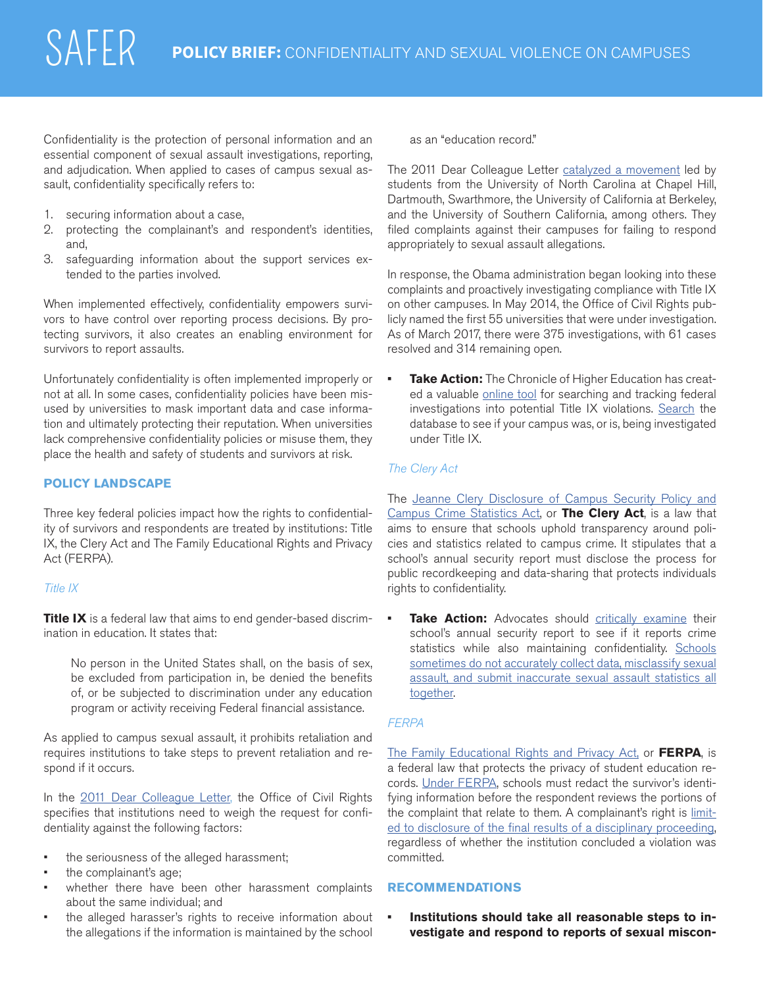Confidentiality is the protection of personal information and an essential component of sexual assault investigations, reporting, and adjudication. When applied to cases of campus sexual assault, confidentiality specifically refers to:

- 1. securing information about a case,
- 2. protecting the complainant's and respondent's identities, and,
- 3. safeguarding information about the support services extended to the parties involved.

When implemented effectively, confidentiality empowers survivors to have control over reporting process decisions. By protecting survivors, it also creates an enabling environment for survivors to report assaults.

Unfortunately confidentiality is often implemented improperly or not at all. In some cases, confidentiality policies have been misused by universities to mask important data and case information and ultimately protecting their reputation. When universities lack comprehensive confidentiality policies or misuse them, they place the health and safety of students and survivors at risk.

# **POLICY LANDSCAPE**

Three key federal policies impact how the rights to confidentiality of survivors and respondents are treated by institutions: Title IX, the Clery Act and The Family Educational Rights and Privacy Act (FERPA).

#### *Title IX*

**Title IX** is a federal law that aims to end gender-based discrimination in education. It states that:

No person in the United States shall, on the basis of sex, be excluded from participation in, be denied the benefits of, or be subjected to discrimination under any education program or activity receiving Federal financial assistance.

As applied to campus sexual assault, it prohibits retaliation and requires institutions to take steps to prevent retaliation and respond if it occurs.

In the [2011 Dear Colleague Letter,](https://www2.ed.gov/about/offices/list/ocr/letters/colleague-201104.pdf) the Office of Civil Rights specifies that institutions need to weigh the request for confidentiality against the [following factors](%20http://www2.ed.gov/about/offices/list/ocr/letters/colleague-201104.pdf%20):

- the seriousness of the alleged harassment;
- the complainant's age;
- whether there have been other harassment complaints about the same individual; and
- the alleged harasser's rights to receive information about the allegations if the information is maintained by the school

as an "education record."

The 2011 Dear Colleague Letter [catalyzed a movement](http://www.chronicle.com/interactives/assault_main) led by students from the University of North Carolina at Chapel Hill, Dartmouth, Swarthmore, the University of California at Berkeley, and the University of Southern California, among others. They filed complaints against their campuses for failing to respond appropriately to sexual assault allegations.

In response, the Obama administration began looking into these complaints and proactively investigating compliance with Title IX on other campuses. In May 2014, the Office of Civil Rights publicly named the first 55 universities that were under investigation. As of March 2017, there were 375 investigations, with [61 cases](http://projects.chronicle.com/titleix/) [resolved and 314 remaining open](http://projects.chronicle.com/titleix/).

**• Take Action:** The Chronicle of Higher Education has created a valuable [online tool](http://projects.chronicle.com/titleix/) for searching and tracking federal investigations into potential Title IX violations. [Search](http://projects.chronicle.com/titleix/investigations/) the database to see if your campus was, or is, being investigated under Title IX.

### *The Clery Act*

The [Jeanne Clery Disclosure of Campus Security Policy and](http://clerycenter.org/article/vawa-amendments-clery) [Campus Crime Statistics Act](http://clerycenter.org/article/vawa-amendments-clery), or **The Clery Act**, is a law that aims to ensure that schools uphold transparency around policies and statistics related to campus crime. It stipulates that a school's annual security report must disclose the process for public recordkeeping and data-sharing that protects individuals rights to confidentiality.

**Take Action:** Advocates should [critically examine their](https://ope.ed.gov/campussafety/%23/) [school's annual security report](https://ope.ed.gov/campussafety/%23/) to see if it reports crime statistics while also maintaining confidentiality. [Schools](https://www.publicintegrity.org/2009/12/02/9045/campus-sexual-assault-statistics-don-t-add) [sometimes do not accurately collect data, misclassify sexual](https://www.publicintegrity.org/2009/12/02/9045/campus-sexual-assault-statistics-don-t-add) [assault, and submit inaccurate sexual assault statistics all](https://www.publicintegrity.org/2009/12/02/9045/campus-sexual-assault-statistics-don-t-add) [together.](https://www.publicintegrity.org/2009/12/02/9045/campus-sexual-assault-statistics-don-t-add)

# *FERPA*

[The Family Educational Rights and Privacy Act,](%20http://www2.ed.gov/policy/gen/guid/fpco/ferpa/index.html%20) or **FERPA**, is a federal law that protects the privacy of student education re-cords. [Under FERPA,](http://www2.ed.gov/about/offices/list/ocr/letters/colleague-201104.pdf) schools must redact the survivor's identifying information before the respondent reviews the portions of the complaint that relate to them. A complainant's right is [limit](http://familypolicy.ed.gov/faq-page%3Fsrc%3Dferpa%23t73n80)[ed to disclosure of the final results of a disciplinary proceeding](http://familypolicy.ed.gov/faq-page%3Fsrc%3Dferpa%23t73n80), regardless of whether the institution concluded a violation was committed.

### **RECOMMENDATIONS**

**• Institutions should take all reasonable steps to investigate and respond to reports of sexual miscon-**